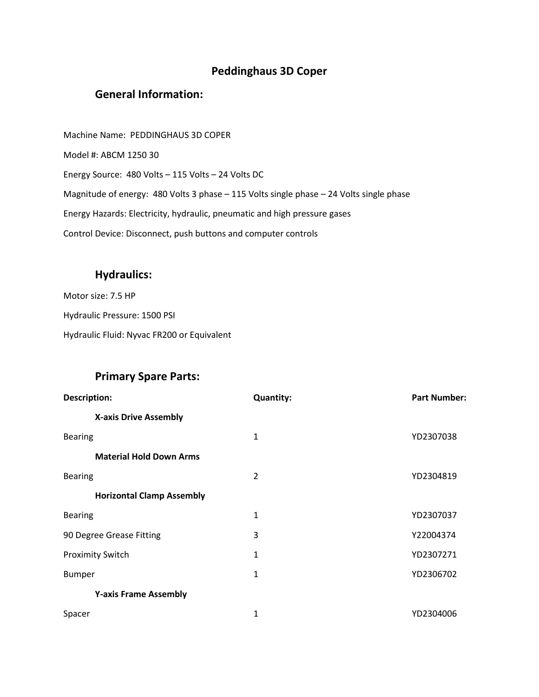## **Peddinghaus 3D Coper**

## **General Information:**

Machine Name: PEDDINGHAUS 3D COPER Model #: ABCM 1250 30 Energy Source: 480 Volts – 115 Volts – 24 Volts DC Magnitude of energy: 480 Volts 3 phase – 115 Volts single phase – 24 Volts single phase Energy Hazards: Electricity, hydraulic, pneumatic and high pressure gases Control Device: Disconnect, push buttons and computer controls

## **Hydraulics:**

Motor size: 7.5 HP Hydraulic Pressure: 1500 PSI Hydraulic Fluid: Nyvac FR200 or Equivalent

## **Primary Spare Parts:**

| Description:                     | <b>Quantity:</b> | <b>Part Number:</b> |
|----------------------------------|------------------|---------------------|
| <b>X-axis Drive Assembly</b>     |                  |                     |
| <b>Bearing</b>                   | 1                | YD2307038           |
| <b>Material Hold Down Arms</b>   |                  |                     |
| <b>Bearing</b>                   | $\overline{2}$   | YD2304819           |
| <b>Horizontal Clamp Assembly</b> |                  |                     |
| <b>Bearing</b>                   | 1                | YD2307037           |
| 90 Degree Grease Fitting         | 3                | Y22004374           |
| <b>Proximity Switch</b>          | 1                | YD2307271           |
| <b>Bumper</b>                    | 1                | YD2306702           |
| <b>Y-axis Frame Assembly</b>     |                  |                     |
| Spacer                           | 1                | YD2304006           |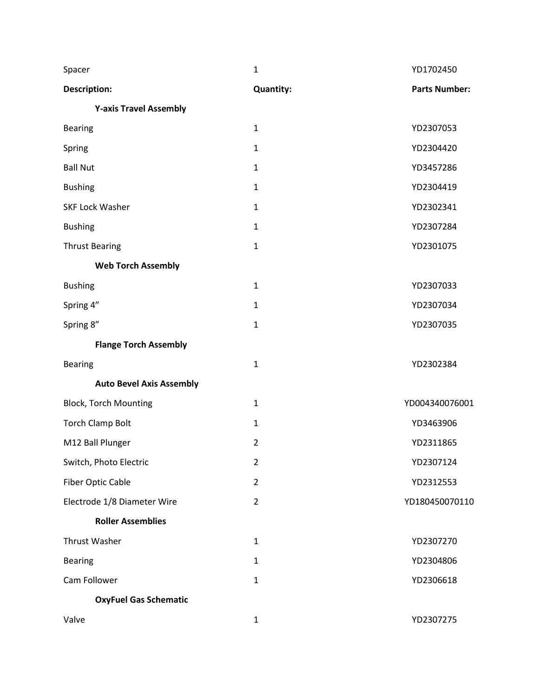| Spacer                          | $\mathbf{1}$     | YD1702450            |
|---------------------------------|------------------|----------------------|
| <b>Description:</b>             | <b>Quantity:</b> | <b>Parts Number:</b> |
| <b>Y-axis Travel Assembly</b>   |                  |                      |
| <b>Bearing</b>                  | $\mathbf{1}$     | YD2307053            |
| Spring                          | $\mathbf{1}$     | YD2304420            |
| <b>Ball Nut</b>                 | $\mathbf{1}$     | YD3457286            |
| <b>Bushing</b>                  | $\mathbf{1}$     | YD2304419            |
| <b>SKF Lock Washer</b>          | $\mathbf{1}$     | YD2302341            |
| <b>Bushing</b>                  | 1                | YD2307284            |
| <b>Thrust Bearing</b>           | $\mathbf{1}$     | YD2301075            |
| <b>Web Torch Assembly</b>       |                  |                      |
| <b>Bushing</b>                  | $\mathbf{1}$     | YD2307033            |
| Spring 4"                       | $\mathbf{1}$     | YD2307034            |
| Spring 8"                       | $\mathbf{1}$     | YD2307035            |
| <b>Flange Torch Assembly</b>    |                  |                      |
| <b>Bearing</b>                  | $\mathbf{1}$     | YD2302384            |
| <b>Auto Bevel Axis Assembly</b> |                  |                      |
| <b>Block, Torch Mounting</b>    | $\mathbf{1}$     | YD004340076001       |
| <b>Torch Clamp Bolt</b>         | $\mathbf{1}$     | YD3463906            |
| M12 Ball Plunger                | $\overline{2}$   | YD2311865            |
| Switch, Photo Electric          | $\overline{2}$   | YD2307124            |
| <b>Fiber Optic Cable</b>        | $\overline{2}$   | YD2312553            |
| Electrode 1/8 Diameter Wire     | $\overline{2}$   | YD180450070110       |
| <b>Roller Assemblies</b>        |                  |                      |
| <b>Thrust Washer</b>            | $\mathbf{1}$     | YD2307270            |
| <b>Bearing</b>                  | $\mathbf{1}$     | YD2304806            |
| Cam Follower                    | $\mathbf{1}$     | YD2306618            |
| <b>OxyFuel Gas Schematic</b>    |                  |                      |
| Valve                           | $\mathbf{1}$     | YD2307275            |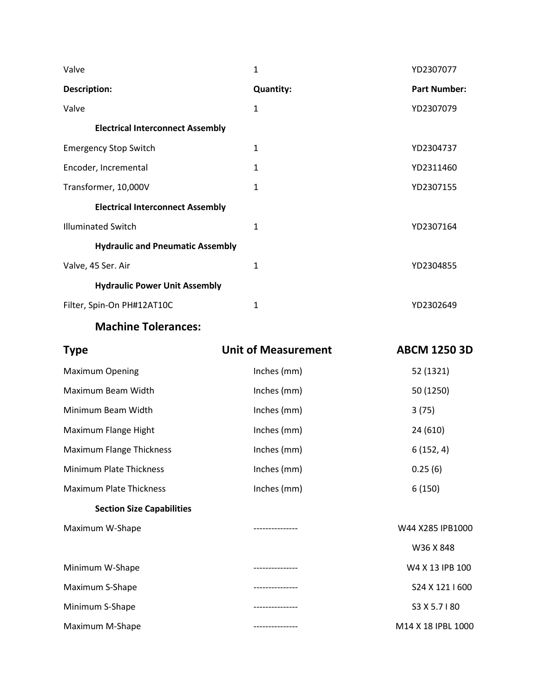| Valve                                   | 1                          | YD2307077           |
|-----------------------------------------|----------------------------|---------------------|
| <b>Description:</b>                     | <b>Quantity:</b>           | <b>Part Number:</b> |
| Valve                                   | $\mathbf{1}$               | YD2307079           |
| <b>Electrical Interconnect Assembly</b> |                            |                     |
| <b>Emergency Stop Switch</b>            | $\mathbf{1}$               | YD2304737           |
| Encoder, Incremental                    | 1                          | YD2311460           |
| Transformer, 10,000V                    | 1                          | YD2307155           |
| <b>Electrical Interconnect Assembly</b> |                            |                     |
| <b>Illuminated Switch</b>               | $\mathbf{1}$               | YD2307164           |
| <b>Hydraulic and Pneumatic Assembly</b> |                            |                     |
| Valve, 45 Ser. Air                      | $\mathbf 1$                | YD2304855           |
| <b>Hydraulic Power Unit Assembly</b>    |                            |                     |
| Filter, Spin-On PH#12AT10C              | $\mathbf{1}$               | YD2302649           |
| <b>Machine Tolerances:</b>              |                            |                     |
| <b>Type</b>                             | <b>Unit of Measurement</b> | <b>ABCM 1250 3D</b> |
| <b>Maximum Opening</b>                  | Inches (mm)                | 52 (1321)           |
| Maximum Beam Width                      | Inches (mm)                | 50 (1250)           |
| Minimum Beam Width                      | Inches (mm)                | 3(75)               |
| Maximum Flange Hight                    | Inches (mm)                | 24 (610)            |
| <b>Maximum Flange Thickness</b>         | Inches (mm)                | 6(152, 4)           |
| Minimum Plate Thickness                 | Inches (mm)                | 0.25(6)             |
| <b>Maximum Plate Thickness</b>          | Inches (mm)                | 6(150)              |
| <b>Section Size Capabilities</b>        |                            |                     |
| Maximum W-Shane                         |                            | W44 X285 IPB1000    |

| <b>SUBJIC-MILIONING</b> | <b>UUULO TE CON PPVV</b> |
|-------------------------|--------------------------|
|                         | W36 X 848                |
| Minimum W-Shape         | W4 X 13 IPB 100          |
| Maximum S-Shape         | S24 X 121   600          |
| Minimum S-Shape         | S3 X 5.7   80            |
| Maximum M-Shape         | M14 X 18 IPBL 1000       |